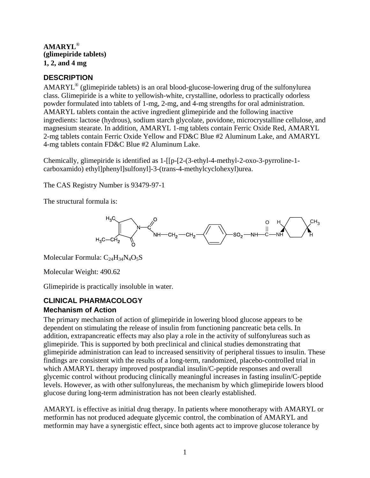**AMARYL**® **(glimepiride tablets) 1, 2, and 4 mg** 

# **DESCRIPTION**

AMARYL® (glimepiride tablets) is an oral blood-glucose-lowering drug of the sulfonylurea class. Glimepiride is a white to yellowish-white, crystalline, odorless to practically odorless powder formulated into tablets of 1-mg, 2-mg, and 4-mg strengths for oral administration. AMARYL tablets contain the active ingredient glimepiride and the following inactive ingredients: lactose (hydrous), sodium starch glycolate, povidone, microcrystalline cellulose, and magnesium stearate. In addition, AMARYL 1-mg tablets contain Ferric Oxide Red, AMARYL 2-mg tablets contain Ferric Oxide Yellow and FD&C Blue #2 Aluminum Lake, and AMARYL 4-mg tablets contain FD&C Blue #2 Aluminum Lake.

Chemically, glimepiride is identified as 1-[[p-[2-(3-ethyl-4-methyl-2-oxo-3-pyrroline-1 carboxamido) ethyl]phenyl]sulfonyl]-3-(trans-4-methylcyclohexyl)urea.

The CAS Registry Number is 93479-97-1

The structural formula is:



Molecular Formula:  $C_{24}H_{34}N_4O_5S$ 

Molecular Weight: 490.62

Glimepiride is practically insoluble in water.

# **CLINICAL PHARMACOLOGY Mechanism of Action**

The primary mechanism of action of glimepiride in lowering blood glucose appears to be dependent on stimulating the release of insulin from functioning pancreatic beta cells. In addition, extrapancreatic effects may also play a role in the activity of sulfonylureas such as glimepiride. This is supported by both preclinical and clinical studies demonstrating that glimepiride administration can lead to increased sensitivity of peripheral tissues to insulin. These findings are consistent with the results of a long-term, randomized, placebo-controlled trial in which AMARYL therapy improved postprandial insulin/C-peptide responses and overall glycemic control without producing clinically meaningful increases in fasting insulin/C-peptide levels. However, as with other sulfonylureas, the mechanism by which glimepiride lowers blood glucose during long-term administration has not been clearly established.

AMARYL is effective as initial drug therapy. In patients where monotherapy with AMARYL or metformin has not produced adequate glycemic control, the combination of AMARYL and metformin may have a synergistic effect, since both agents act to improve glucose tolerance by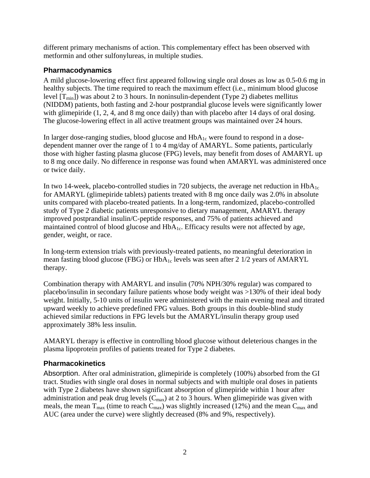different primary mechanisms of action. This complementary effect has been observed with metformin and other sulfonylureas, in multiple studies.

# **Pharmacodynamics**

A mild glucose-lowering effect first appeared following single oral doses as low as 0.5-0.6 mg in healthy subjects. The time required to reach the maximum effect (i.e., minimum blood glucose level  $[T_{min}]$ ) was about 2 to 3 hours. In noninsulin-dependent (Type 2) diabetes mellitus (NIDDM) patients, both fasting and 2-hour postprandial glucose levels were significantly lower with glimepiride  $(1, 2, 4, \text{ and } 8 \text{ mg once daily})$  than with placebo after 14 days of oral dosing. The glucose-lowering effect in all active treatment groups was maintained over 24 hours.

In larger dose-ranging studies, blood glucose and  $HbA_{1c}$  were found to respond in a dosedependent manner over the range of 1 to 4 mg/day of AMARYL. Some patients, particularly those with higher fasting plasma glucose (FPG) levels, may benefit from doses of AMARYL up to 8 mg once daily. No difference in response was found when AMARYL was administered once or twice daily.

In two 14-week, placebo-controlled studies in 720 subjects, the average net reduction in  $HbA_{1c}$ for AMARYL (glimepiride tablets) patients treated with 8 mg once daily was 2.0% in absolute units compared with placebo-treated patients. In a long-term, randomized, placebo-controlled study of Type 2 diabetic patients unresponsive to dietary management, AMARYL therapy improved postprandial insulin/C-peptide responses, and 75% of patients achieved and maintained control of blood glucose and  $HbA_{1c}$ . Efficacy results were not affected by age, gender, weight, or race.

In long-term extension trials with previously-treated patients, no meaningful deterioration in mean fasting blood glucose (FBG) or  $HbA_{1c}$  levels was seen after 2 1/2 years of AMARYL therapy.

Combination therapy with AMARYL and insulin (70% NPH/30% regular) was compared to placebo/insulin in secondary failure patients whose body weight was >130% of their ideal body weight. Initially, 5-10 units of insulin were administered with the main evening meal and titrated upward weekly to achieve predefined FPG values. Both groups in this double-blind study achieved similar reductions in FPG levels but the AMARYL/insulin therapy group used approximately 38% less insulin.

AMARYL therapy is effective in controlling blood glucose without deleterious changes in the plasma lipoprotein profiles of patients treated for Type 2 diabetes.

# **Pharmacokinetics**

Absorption. After oral administration, glimepiride is completely (100%) absorbed from the GI tract. Studies with single oral doses in normal subjects and with multiple oral doses in patients with Type 2 diabetes have shown significant absorption of glimepiride within 1 hour after administration and peak drug levels  $(C_{max})$  at 2 to 3 hours. When glimepiride was given with meals, the mean  $T_{\text{max}}$  (time to reach  $C_{\text{max}}$ ) was slightly increased (12%) and the mean  $C_{\text{max}}$  and AUC (area under the curve) were slightly decreased (8% and 9%, respectively).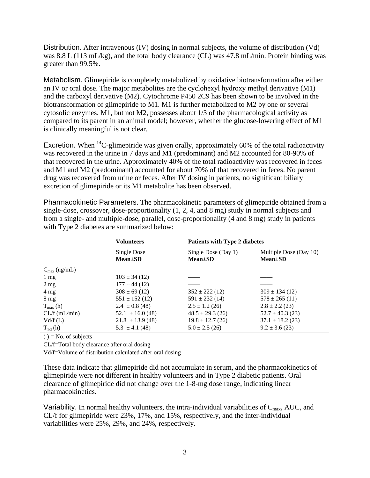Distribution. After intravenous (IV) dosing in normal subjects, the volume of distribution (Vd) was 8.8 L (113 mL/kg), and the total body clearance (CL) was 47.8 mL/min. Protein binding was greater than 99.5%.

Metabolism. Glimepiride is completely metabolized by oxidative biotransformation after either an IV or oral dose. The major metabolites are the cyclohexyl hydroxy methyl derivative (M1) and the carboxyl derivative (M2). Cytochrome P450 2C9 has been shown to be involved in the biotransformation of glimepiride to M1. M1 is further metabolized to M2 by one or several cytosolic enzymes. M1, but not M2, possesses about 1/3 of the pharmacological activity as compared to its parent in an animal model; however, whether the glucose-lowering effect of M1 is clinically meaningful is not clear.

Excretion. When  ${}^{14}C$ -glimepiride was given orally, approximately 60% of the total radioactivity was recovered in the urine in 7 days and M1 (predominant) and M2 accounted for 80-90% of that recovered in the urine. Approximately 40% of the total radioactivity was recovered in feces and M1 and M2 (predominant) accounted for about 70% of that recovered in feces. No parent drug was recovered from urine or feces. After IV dosing in patients, no significant biliary excretion of glimepiride or its M1 metabolite has been observed.

Pharmacokinetic Parameters. The pharmacokinetic parameters of glimepiride obtained from a single-dose, crossover, dose-proportionality (1, 2, 4, and 8 mg) study in normal subjects and from a single- and multiple-dose, parallel, dose-proportionality (4 and 8 mg) study in patients with Type 2 diabetes are summarized below:

|                          | <b>Volunteers</b>            | <b>Patients with Type 2 diabetes</b> |                                         |  |
|--------------------------|------------------------------|--------------------------------------|-----------------------------------------|--|
|                          | Single Dose<br>$Mean \pm SD$ | Single Dose (Day 1)<br>$Mean \pm SD$ | Multiple Dose (Day 10)<br>$Mean \pm SD$ |  |
| $C_{\text{max}}$ (ng/mL) |                              |                                      |                                         |  |
| $1 \text{ mg}$           | $103 \pm 34$ (12)            |                                      |                                         |  |
| $2 \text{ mg}$           | $177 \pm 44$ (12)            |                                      |                                         |  |
| $4 \text{ mg}$           | $308 \pm 69$ (12)            | $352 \pm 222$ (12)                   | $309 \pm 134(12)$                       |  |
| $8 \text{ mg}$           | $551 \pm 152$ (12)           | $591 \pm 232(14)$                    | $578 \pm 265(11)$                       |  |
| $T_{\text{max}}$ (h)     | $2.4 \pm 0.8$ (48)           | $2.5 \pm 1.2$ (26)                   | $2.8 \pm 2.2$ (23)                      |  |
| $CL/f$ (mL/min)          | $52.1 \pm 16.0$ (48)         | $48.5 \pm 29.3$ (26)                 | $52.7 \pm 40.3$ (23)                    |  |
| V d/f(L)                 | $21.8 \pm 13.9$ (48)         | $19.8 \pm 12.7$ (26)                 | $37.1 \pm 18.2$ (23)                    |  |
| $T_{1/2}$ (h)            | $5.3 \pm 4.1(48)$            | $5.0 \pm 2.5$ (26)                   | $9.2 \pm 3.6$ (23)                      |  |

 $() = No. of subjects$ 

CL/f=Total body clearance after oral dosing

Vd/f=Volume of distribution calculated after oral dosing

These data indicate that glimepiride did not accumulate in serum, and the pharmacokinetics of glimepiride were not different in healthy volunteers and in Type 2 diabetic patients. Oral clearance of glimepiride did not change over the 1-8-mg dose range, indicating linear pharmacokinetics.

Variability. In normal healthy volunteers, the intra-individual variabilities of  $C_{\text{max}}$ , AUC, and CL/f for glimepiride were 23%, 17%, and 15%, respectively, and the inter-individual variabilities were 25%, 29%, and 24%, respectively.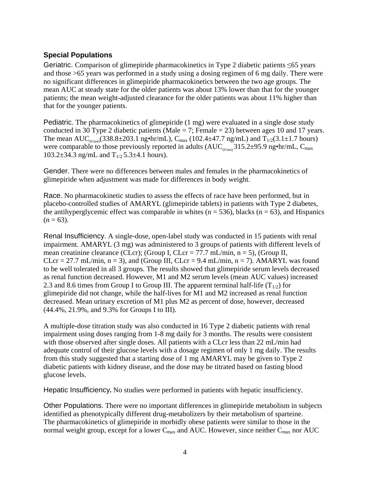# <span id="page-3-0"></span>**Special Populations**

Geriatric. Comparison of glimepiride pharmacokinetics in Type 2 diabetic patients ≤65 years and those >65 years was performed in a study using a dosing regimen of 6 mg daily. There were no significant differences in glimepiride pharmacokinetics between the two age groups. The mean AUC at steady state for the older patients was about 13% lower than that for the younger patients; the mean weight-adjusted clearance for the older patients was about 11% higher than that for the younger patients.

Pediatric. The pharmacokinetics of glimepiride (1 mg) were evaluated in a single dose study conducted in 30 Type 2 diabetic patients (Male = 7; Female = 23) between ages 10 and 17 years. The mean AUC<sub>(0-last)</sub>(338.8±203.1 ng•hr/mL), C<sub>max</sub> (102.4±47.7 ng/mL) and T<sub>1/2</sub>(3.1±1.7 hours) were comparable to those previously reported in adults  $(AUC_{\text{on-1}}315.2\pm 95.9 \text{ ng} \cdot \text{hr/mL}, C_{\text{max}}$ 103.2 $\pm$ 34.3 ng/mL and T<sub>1/2</sub> 5.3 $\pm$ 4.1 hours).

Gender. There were no differences between males and females in the pharmacokinetics of glimepiride when adjustment was made for differences in body weight.

Race. No pharmacokinetic studies to assess the effects of race have been performed, but in placebo-controlled studies of AMARYL (glimepiride tablets) in patients with Type 2 diabetes, the antihyperglycemic effect was comparable in whites ( $n = 536$ ), blacks ( $n = 63$ ), and Hispanics  $(n = 63)$ .

Renal Insufficiency. A single-dose, open-label study was conducted in 15 patients with renal impairment. AMARYL (3 mg) was administered to 3 groups of patients with different levels of mean creatinine clearance (CLcr); (Group I, CLcr = 77.7 mL/min,  $n = 5$ ), (Group II, CLcr = 27.7 mL/min,  $n = 3$ ), and (Group III, CLcr = 9.4 mL/min,  $n = 7$ ). AMARYL was found to be well tolerated in all 3 groups. The results showed that glimepiride serum levels decreased as renal function decreased. However, M1 and M2 serum levels (mean AUC values) increased 2.3 and 8.6 times from Group I to Group III. The apparent terminal half-life  $(T_{1/2})$  for glimepiride did not change, while the half-lives for M1 and M2 increased as renal function decreased. Mean urinary excretion of M1 plus M2 as percent of dose, however, decreased (44.4%, 21.9%, and 9.3% for Groups I to III).

A multiple-dose titration study was also conducted in 16 Type 2 diabetic patients with renal impairment using doses ranging from 1-8 mg daily for 3 months. The results were consistent with those observed after single doses. All patients with a CLcr less than 22 mL/min had adequate control of their glucose levels with a dosage regimen of only 1 mg daily. The results from this study suggested that a starting dose of 1 mg AMARYL may be given to Type 2 diabetic patients with kidney disease, and the dose may be titrated based on fasting blood glucose levels.

Hepatic Insufficiency**.** No studies were performed in patients with hepatic insufficiency.

Other Populations. There were no important differences in glimepiride metabolism in subjects identified as phenotypically different drug-metabolizers by their metabolism of sparteine. The pharmacokinetics of glimepiride in morbidly obese patients were similar to those in the normal weight group, except for a lower  $C_{\text{max}}$  and AUC. However, since neither  $C_{\text{max}}$  nor AUC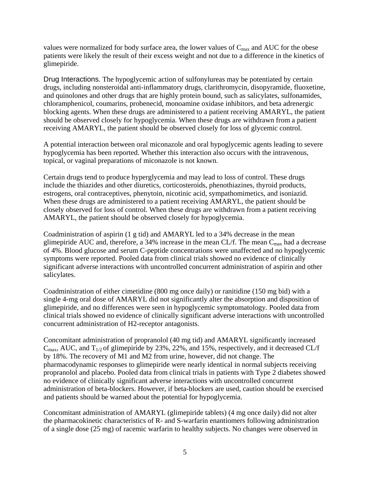<span id="page-4-0"></span>values were normalized for body surface area, the lower values of  $C_{\text{max}}$  and AUC for the obese patients were likely the result of their excess weight and not due to a difference in the kinetics of glimepiride.

Drug Interactions. The hypoglycemic action of sulfonylureas may be potentiated by certain drugs, including nonsteroidal anti-inflammatory drugs, clarithromycin, disopyramide, fluoxetine, and quinolones and other drugs that are highly protein bound, such as salicylates, sulfonamides, chloramphenicol, coumarins, probenecid, monoamine oxidase inhibitors, and beta adrenergic blocking agents. When these drugs are administered to a patient receiving AMARYL, the patient should be observed closely for hypoglycemia. When these drugs are withdrawn from a patient receiving AMARYL, the patient should be observed closely for loss of glycemic control.

A potential interaction between oral miconazole and oral hypoglycemic agents leading to severe hypoglycemia has been reported. Whether this interaction also occurs with the intravenous, topical, or vaginal preparations of miconazole is not known.

Certain drugs tend to produce hyperglycemia and may lead to loss of control. These drugs include the thiazides and other diuretics, corticosteroids, phenothiazines, thyroid products, estrogens, oral contraceptives, phenytoin, nicotinic acid, sympathomimetics, and isoniazid. When these drugs are administered to a patient receiving AMARYL, the patient should be closely observed for loss of control. When these drugs are withdrawn from a patient receiving AMARYL, the patient should be observed closely for hypoglycemia.

Coadministration of aspirin (1 g tid) and AMARYL led to a 34% decrease in the mean glimepiride AUC and, therefore, a 34% increase in the mean CL/f. The mean  $C_{\text{max}}$  had a decrease of 4%. Blood glucose and serum C-peptide concentrations were unaffected and no hypoglycemic symptoms were reported. Pooled data from clinical trials showed no evidence of clinically significant adverse interactions with uncontrolled concurrent administration of aspirin and other salicylates.

Coadministration of either cimetidine (800 mg once daily) or ranitidine (150 mg bid) with a single 4-mg oral dose of AMARYL did not significantly alter the absorption and disposition of glimepiride, and no differences were seen in hypoglycemic symptomatology. Pooled data from clinical trials showed no evidence of clinically significant adverse interactions with uncontrolled concurrent administration of H2-receptor antagonists.

and patients should be warned about the potential for hypoglycemia. Concomitant administration of propranolol (40 mg tid) and AMARYL significantly increased  $C_{\text{max}}$ , AUC, and  $T_{1/2}$  of glimepiride by 23%, 22%, and 15%, respectively, and it decreased CL/f by 18%. The recovery of M1 and M2 from urine, however, did not change. The pharmacodynamic responses to glimepiride were nearly identical in normal subjects receiving propranolol and placebo. Pooled data from clinical trials in patients with Type 2 diabetes showed no evidence of clinically significant adverse interactions with uncontrolled concurrent administration of beta-blockers. However, if beta-blockers are used, caution should be exercised

Concomitant administration of AMARYL (glimepiride tablets) (4 mg once daily) did not alter the pharmacokinetic characteristics of R- and S-warfarin enantiomers following administration of a single dose (25 mg) of racemic warfarin to healthy subjects. No changes were observed in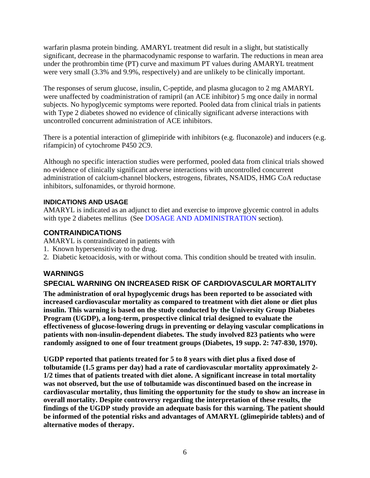<span id="page-5-0"></span>warfarin plasma protein binding. AMARYL treatment did result in a slight, but statistically significant, decrease in the pharmacodynamic response to warfarin. The reductions in mean area under the prothrombin time (PT) curve and maximum PT values during AMARYL treatment were very small (3.3% and 9.9%, respectively) and are unlikely to be clinically important.

The responses of serum glucose, insulin, C-peptide, and plasma glucagon to 2 mg AMARYL were unaffected by coadministration of ramipril (an ACE inhibitor) 5 mg once daily in normal subjects. No hypoglycemic symptoms were reported. Pooled data from clinical trials in patients with Type 2 diabetes showed no evidence of clinically significant adverse interactions with uncontrolled concurrent administration of ACE inhibitors.

There is a potential interaction of glimepiride with inhibitors (e.g. fluconazole) and inducers (e.g. rifampicin) of cytochrome P450 2C9.

Although no specific interaction studies were performed, pooled data from clinical trials showed no evidence of clinically significant adverse interactions with uncontrolled concurrent administration of calcium-channel blockers, estrogens, fibrates, NSAIDS, HMG CoA reductase inhibitors, sulfonamides, or thyroid hormone.

# **INDICATIONS AND USAGE**

AMARYL is indicated as an adjunct to diet and exercise to improve glycemic control in adults with type 2 diabetes mellitus (See [DOSAGE AND ADMINISTRATION](#page-11-0) section).

# **CONTRAINDICATIONS**

AMARYL is contraindicated in patients with

- 1. Known hypersensitivity to the drug.
- 2. Diabetic ketoacidosis, with or without coma. This condition should be treated with insulin.

# **WARNINGS**

# **SPECIAL WARNING ON INCREASED RISK OF CARDIOVASCULAR MORTALITY**

**The administration of oral hypoglycemic drugs has been reported to be associated with increased cardiovascular mortality as compared to treatment with diet alone or diet plus insulin. This warning is based on the study conducted by the University Group Diabetes Program (UGDP), a long-term, prospective clinical trial designed to evaluate the effectiveness of glucose-lowering drugs in preventing or delaying vascular complications in patients with non-insulin-dependent diabetes. The study involved 823 patients who were randomly assigned to one of four treatment groups (Diabetes, 19 supp. 2: 747-830, 1970).** 

**UGDP reported that patients treated for 5 to 8 years with diet plus a fixed dose of tolbutamide (1.5 grams per day) had a rate of cardiovascular mortality approximately 2 1/2 times that of patients treated with diet alone. A significant increase in total mortality was not observed, but the use of tolbutamide was discontinued based on the increase in cardiovascular mortality, thus limiting the opportunity for the study to show an increase in overall mortality. Despite controversy regarding the interpretation of these results, the findings of the UGDP study provide an adequate basis for this warning. The patient should be informed of the potential risks and advantages of AMARYL (glimepiride tablets) and of alternative modes of therapy.**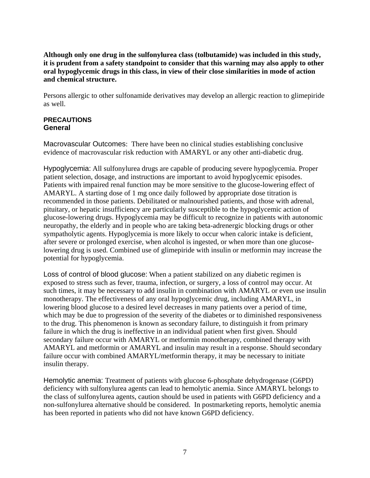<span id="page-6-0"></span>**Although only one drug in the sulfonylurea class (tolbutamide) was included in this study, it is prudent from a safety standpoint to consider that this warning may also apply to other oral hypoglycemic drugs in this class, in view of their close similarities in mode of action and chemical structure.** 

Persons allergic to other sulfonamide derivatives may develop an allergic reaction to glimepiride as well.

#### **PRECAUTIONS General**

Macrovascular Outcomes: There have been no clinical studies establishing conclusive evidence of macrovascular risk reduction with AMARYL or any other anti-diabetic drug.

Hypoglycemia: All sulfonylurea drugs are capable of producing severe hypoglycemia. Proper patient selection, dosage, and instructions are important to avoid hypoglycemic episodes. Patients with impaired renal function may be more sensitive to the glucose-lowering effect of AMARYL. A starting dose of 1 mg once daily followed by appropriate dose titration is recommended in those patients. Debilitated or malnourished patients, and those with adrenal, pituitary, or hepatic insufficiency are particularly susceptible to the hypoglycemic action of glucose-lowering drugs. Hypoglycemia may be difficult to recognize in patients with autonomic neuropathy, the elderly and in people who are taking beta-adrenergic blocking drugs or other sympatholytic agents. Hypoglycemia is more likely to occur when caloric intake is deficient, after severe or prolonged exercise, when alcohol is ingested, or when more than one glucoselowering drug is used. Combined use of glimepiride with insulin or metformin may increase the potential for hypoglycemia.

Loss of control of blood glucose: When a patient stabilized on any diabetic regimen is exposed to stress such as fever, trauma, infection, or surgery, a loss of control may occur. At such times, it may be necessary to add insulin in combination with AMARYL or even use insulin monotherapy. The effectiveness of any oral hypoglycemic drug, including AMARYL, in lowering blood glucose to a desired level decreases in many patients over a period of time, which may be due to progression of the severity of the diabetes or to diminished responsiveness to the drug. This phenomenon is known as secondary failure, to distinguish it from primary failure in which the drug is ineffective in an individual patient when first given. Should secondary failure occur with AMARYL or metformin monotherapy, combined therapy with AMARYL and metformin or AMARYL and insulin may result in a response. Should secondary failure occur with combined AMARYL/metformin therapy, it may be necessary to initiate insulin therapy.

Hemolytic anemia: Treatment of patients with glucose 6-phosphate dehydrogenase (G6PD) deficiency with sulfonylurea agents can lead to hemolytic anemia. Since AMARYL belongs to the class of sulfonylurea agents, caution should be used in patients with G6PD deficiency and a non-sulfonylurea alternative should be considered. In postmarketing reports, hemolytic anemia has been reported in patients who did not have known G6PD deficiency.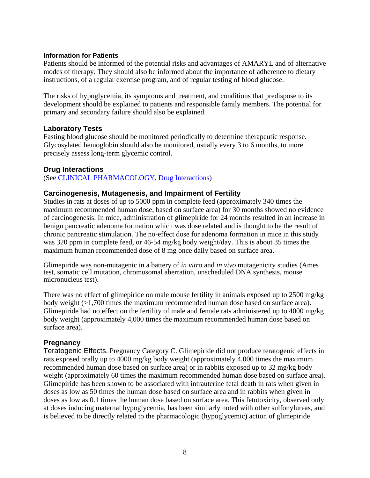#### **Information for Patients**

Patients should be informed of the potential risks and advantages of AMARYL and of alternative modes of therapy. They should also be informed about the importance of adherence to dietary instructions, of a regular exercise program, and of regular testing of blood glucose.

The risks of hypoglycemia, its symptoms and treatment, and conditions that predispose to its development should be explained to patients and responsible family members. The potential for primary and secondary failure should also be explained.

### **Laboratory Tests**

Fasting blood glucose should be monitored periodically to determine therapeutic response. Glycosylated hemoglobin should also be monitored, usually every 3 to 6 months, to more precisely assess long-term glycemic control.

### **Drug Interactions**

(See [CLINICAL PHARMACOLOGY, Drug Interactions\)](#page-4-0)

### **Carcinogenesis, Mutagenesis, and Impairment of Fertility**

Studies in rats at doses of up to 5000 ppm in complete feed (approximately 340 times the maximum recommended human dose, based on surface area) for 30 months showed no evidence of carcinogenesis. In mice, administration of glimepiride for 24 months resulted in an increase in benign pancreatic adenoma formation which was dose related and is thought to be the result of chronic pancreatic stimulation. The no-effect dose for adenoma formation in mice in this study was 320 ppm in complete feed, or 46-54 mg/kg body weight/day. This is about 35 times the maximum human recommended dose of 8 mg once daily based on surface area.

Glimepiride was non-mutagenic in a battery of *in vitro* and *in vivo* mutagenicity studies (Ames test, somatic cell mutation, chromosomal aberration, unscheduled DNA synthesis, mouse micronucleus test).

There was no effect of glimepiride on male mouse fertility in animals exposed up to 2500 mg/kg body weight (>1,700 times the maximum recommended human dose based on surface area). Glimepiride had no effect on the fertility of male and female rats administered up to 4000 mg/kg body weight (approximately 4,000 times the maximum recommended human dose based on surface area).

### **Pregnancy**

Teratogenic Effects. Pregnancy Category C. Glimepiride did not produce teratogenic effects in rats exposed orally up to 4000 mg/kg body weight (approximately 4,000 times the maximum recommended human dose based on surface area) or in rabbits exposed up to 32 mg/kg body weight (approximately 60 times the maximum recommended human dose based on surface area). Glimepiride has been shown to be associated with intrauterine fetal death in rats when given in doses as low as 50 times the human dose based on surface area and in rabbits when given in doses as low as 0.1 times the human dose based on surface area. This fetotoxicity, observed only at doses inducing maternal hypoglycemia, has been similarly noted with other sulfonylureas, and is believed to be directly related to the pharmacologic (hypoglycemic) action of glimepiride.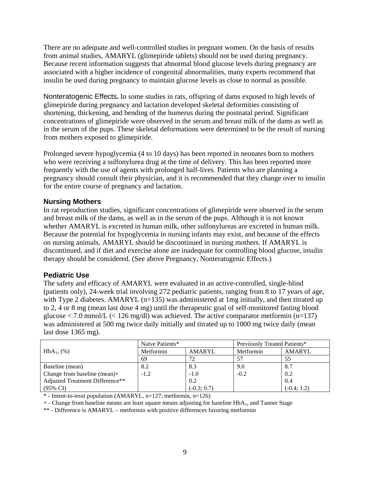There are no adequate and well-controlled studies in pregnant women. On the basis of results from animal studies, AMARYL (glimepiride tablets) should not be used during pregnancy. Because recent information suggests that abnormal blood glucose levels during pregnancy are associated with a higher incidence of congenital abnormalities, many experts recommend that insulin be used during pregnancy to maintain glucose levels as close to normal as possible.

Nonteratogenic Effects**.** In some studies in rats, offspring of dams exposed to high levels of glimepiride during pregnancy and lactation developed skeletal deformities consisting of shortening, thickening, and bending of the humerus during the postnatal period. Significant concentrations of glimepiride were observed in the serum and breast milk of the dams as well as in the serum of the pups. These skeletal deformations were determined to be the result of nursing from mothers exposed to glimepiride.

Prolonged severe hypoglycemia (4 to 10 days) has been reported in neonates born to mothers who were receiving a sulfonylurea drug at the time of delivery. This has been reported more frequently with the use of agents with prolonged half-lives. Patients who are planning a pregnancy should consult their physician, and it is recommended that they change over to insulin for the entire course of pregnancy and lactation.

# **Nursing Mothers**

In rat reproduction studies, significant concentrations of glimepiride were observed in the serum and breast milk of the dams, as well as in the serum of the pups. Although it is not known whether AMARYL is excreted in human milk, other sulfonylureas are excreted in human milk. Because the potential for hypoglycemia in nursing infants may exist, and because of the effects on nursing animals, AMARYL should be discontinued in nursing mothers. If AMARYL is discontinued, and if diet and exercise alone are inadequate for controlling blood glucose, insulin therapy should be considered. (See above Pregnancy, Nonteratogenic Effects.)

# **Pediatric Use**

The safety and efficacy of AMARYL were evaluated in an active-controlled, single-blind (patients only), 24-week trial involving 272 pediatric patients, ranging from 8 to 17 years of age, with Type 2 diabetes. AMARYL  $(n=135)$  was administered at 1mg initially, and then titrated up to 2, 4 or 8 mg (mean last dose 4 mg) until the therapeutic goal of self-monitored fasting blood glucose  $\langle 7.0 \text{ mmol/L } (\langle 126 \text{ mg/dl}) \rangle$  was achieved. The active comparator metformin (n=137) was administered at 500 mg twice daily initially and titrated up to 1000 mg twice daily (mean last dose 1365 mg).

|                                 | Naïve Patients* |               | Previously Treated Patients* |               |
|---------------------------------|-----------------|---------------|------------------------------|---------------|
| $HbA_{1c}$ (%)                  | Metformin       | <b>AMARYL</b> | Metformin                    | <b>AMARYL</b> |
|                                 | 69              | 72            | 57                           | 55            |
| Baseline (mean)                 | 8.2             | 8.3           | 9.0                          | 8.7           |
| Change from baseline (mean) $+$ | $-1.2$          | $-1.0$        | $-0.2$                       | 0.2           |
| Adjusted Treatment Difference** |                 | 0.2           |                              | 0.4           |
| $(95\% \text{ CI})$             |                 | $(-0.3; 0.7)$ |                              | $(-0.4; 1.2)$ |

\* - Intent-to-treat population (AMARYL, n=127; metformin, n=126)

 $+$  - Change from baseline means are least square means adjusting for baseline HbA<sub>1c</sub> and Tanner Stage

\*\* - Difference is AMARYL – metformin with positive differences favoring metformin 9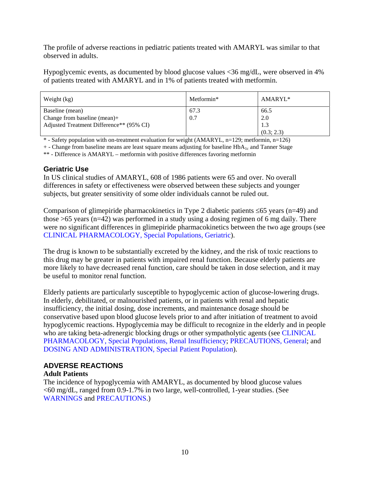The profile of adverse reactions in pediatric patients treated with AMARYL was similar to that observed in adults.

Hypoglycemic events, as documented by blood glucose values <36 mg/dL, were observed in 4% of patients treated with AMARYL and in 1% of patients treated with metformin.

| Weight (kg)                              | Metformin* | AMARYL*    |
|------------------------------------------|------------|------------|
| Baseline (mean)                          | 67.3       | 66.5       |
| Change from baseline (mean)+             | 0.7        | 2.0        |
| Adjusted Treatment Difference** (95% CI) |            | 1.3        |
|                                          |            | (0.3; 2.3) |

\* - Safety population with on-treatment evaluation for weight (AMARYL, n=129; metformin, n=126)

 $+$  - Change from baseline means are least square means adjusting for baseline HbA<sub>1c</sub> and Tanner Stage

\*\* - Difference is AMARYL – metformin with positive differences favoring metformin

### **Geriatric Use**

In US clinical studies of AMARYL, 608 of 1986 patients were 65 and over. No overall differences in safety or effectiveness were observed between these subjects and younger subjects, but greater sensitivity of some older individuals cannot be ruled out.

Comparison of glimepiride pharmacokinetics in Type 2 diabetic patients ≤65 years (n=49) and those >65 years (n=42) was performed in a study using a dosing regimen of 6 mg daily. There were no significant differences in glimepiride pharmacokinetics between the two age groups (see [CLINICAL PHARMACOLOGY, Special Populations, Geriatric\)](#page-3-0).

The drug is known to be substantially excreted by the kidney, and the risk of toxic reactions to this drug may be greater in patients with impaired renal function. Because elderly patients are more likely to have decreased renal function, care should be taken in dose selection, and it may be useful to monitor renal function.

Elderly patients are particularly susceptible to hypoglycemic action of glucose-lowering drugs. In elderly, debilitated, or malnourished patients, or in patients with renal and hepatic insufficiency, the initial dosing, dose increments, and maintenance dosage should be conservative based upon blood glucose levels prior to and after initiation of treatment to avoid hypoglycemic reactions. Hypoglycemia may be difficult to recognize in the elderly and in people who are taking beta-adrenergic blocking drugs or other sympatholytic agents (see CLINICAL [PHARMACOLOGY, Special Populations, Renal Insufficiency;](#page-3-0) [PRECAUTIONS, General](#page-6-0); and [DOSING AND ADMINISTRATION, Special Patient Population\)](#page-12-0).

# **ADVERSE REACTIONS**

### **Adult Patients**

The incidence of hypoglycemia with AMARYL, as documented by blood glucose values  $\leq 60$  mg/dL, ranged from 0.9-1.7% in two large, well-controlled, 1-year studies. (See [WARNINGS a](#page-5-0)nd [PRECAUTIONS.](#page-6-0))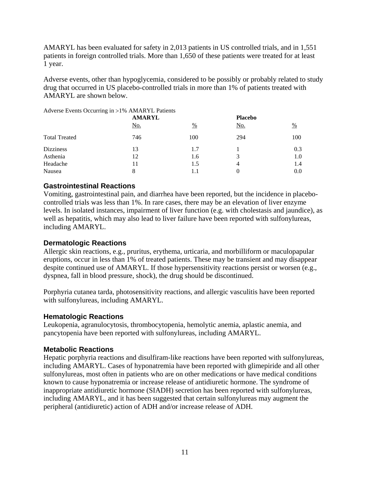AMARYL has been evaluated for safety in 2,013 patients in US controlled trials, and in 1,551 patients in foreign controlled trials. More than 1,650 of these patients were treated for at least 1 year.

Adverse events, other than hypoglycemia, considered to be possibly or probably related to study drug that occurred in US placebo-controlled trials in more than 1% of patients treated with AMARYL are shown below.

Adverse Events Occurring in >1% AMARYL Patients

|                      | <b>AMARYL</b> |               | <b>Placebo</b> |         |
|----------------------|---------------|---------------|----------------|---------|
|                      | <u>No.</u>    | $\frac{0}{0}$ | <u>No.</u>     | $\%$    |
| <b>Total Treated</b> | 746           | 100           | 294            | 100     |
| <b>Dizziness</b>     | 13            | 1.7           |                | 0.3     |
| Asthenia             | 12            | 1.6           | 3              | $1.0\,$ |
| Headache             | 11            | 1.5           | 4              | 1.4     |
| Nausea               | 8             | 1.1           | 0              | 0.0     |

# **Gastrointestinal Reactions**

Vomiting, gastrointestinal pain, and diarrhea have been reported, but the incidence in placebocontrolled trials was less than 1%. In rare cases, there may be an elevation of liver enzyme levels. In isolated instances, impairment of liver function (e.g. with cholestasis and jaundice), as well as hepatitis, which may also lead to liver failure have been reported with sulfonylureas, including AMARYL.

# **Dermatologic Reactions**

Allergic skin reactions, e.g., pruritus, erythema, urticaria, and morbilliform or maculopapular eruptions, occur in less than 1% of treated patients. These may be transient and may disappear despite continued use of AMARYL. If those hypersensitivity reactions persist or worsen (e.g., dyspnea, fall in blood pressure, shock), the drug should be discontinued.

Porphyria cutanea tarda, photosensitivity reactions, and allergic vasculitis have been reported with sulfonylureas, including AMARYL.

# **Hematologic Reactions**

Leukopenia, agranulocytosis, thrombocytopenia, hemolytic anemia, aplastic anemia, and pancytopenia have been reported with sulfonylureas, including AMARYL.

# **Metabolic Reactions**

Hepatic porphyria reactions and disulfiram-like reactions have been reported with sulfonylureas, including AMARYL. Cases of hyponatremia have been reported with glimepiride and all other sulfonylureas, most often in patients who are on other medications or have medical conditions known to cause hyponatremia or increase release of antidiuretic hormone. The syndrome of inappropriate antidiuretic hormone (SIADH) secretion has been reported with sulfonylureas, including AMARYL, and it has been suggested that certain sulfonylureas may augment the peripheral (antidiuretic) action of ADH and/or increase release of ADH.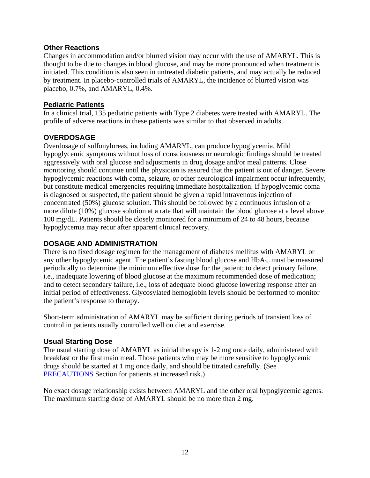### <span id="page-11-0"></span>**Other Reactions**

Changes in accommodation and/or blurred vision may occur with the use of AMARYL. This is thought to be due to changes in blood glucose, and may be more pronounced when treatment is initiated. This condition is also seen in untreated diabetic patients, and may actually be reduced by treatment. In placebo-controlled trials of AMARYL, the incidence of blurred vision was placebo, 0.7%, and AMARYL, 0.4%.

# **Pediatric Patients**

In a clinical trial, 135 pediatric patients with Type 2 diabetes were treated with AMARYL. The profile of adverse reactions in these patients was similar to that observed in adults.

# **OVERDOSAGE**

Overdosage of sulfonylureas, including AMARYL, can produce hypoglycemia. Mild hypoglycemic symptoms without loss of consciousness or neurologic findings should be treated aggressively with oral glucose and adjustments in drug dosage and/or meal patterns. Close monitoring should continue until the physician is assured that the patient is out of danger. Severe hypoglycemic reactions with coma, seizure, or other neurological impairment occur infrequently, but constitute medical emergencies requiring immediate hospitalization. If hypoglycemic coma is diagnosed or suspected, the patient should be given a rapid intravenous injection of concentrated (50%) glucose solution. This should be followed by a continuous infusion of a more dilute (10%) glucose solution at a rate that will maintain the blood glucose at a level above 100 mg/dL. Patients should be closely monitored for a minimum of 24 to 48 hours, because hypoglycemia may recur after apparent clinical recovery.

# **DOSAGE AND ADMINISTRATION**

There is no fixed dosage regimen for the management of diabetes mellitus with AMARYL or any other hypoglycemic agent. The patient's fasting blood glucose and  $HbA_{1c}$  must be measured periodically to determine the minimum effective dose for the patient; to detect primary failure, i.e., inadequate lowering of blood glucose at the maximum recommended dose of medication; and to detect secondary failure, i.e., loss of adequate blood glucose lowering response after an initial period of effectiveness. Glycosylated hemoglobin levels should be performed to monitor the patient's response to therapy.

Short-term administration of AMARYL may be sufficient during periods of transient loss of control in patients usually controlled well on diet and exercise.

# **Usual Starting Dose**

The usual starting dose of AMARYL as initial therapy is 1-2 mg once daily, administered with breakfast or the first main meal. Those patients who may be more sensitive to hypoglycemic drugs should be started at 1 mg once daily, and should be titrated carefully. (See [PRECAUTIONS S](#page-6-0)ection for patients at increased risk.)

No exact dosage relationship exists between AMARYL and the other oral hypoglycemic agents. The maximum starting dose of AMARYL should be no more than 2 mg.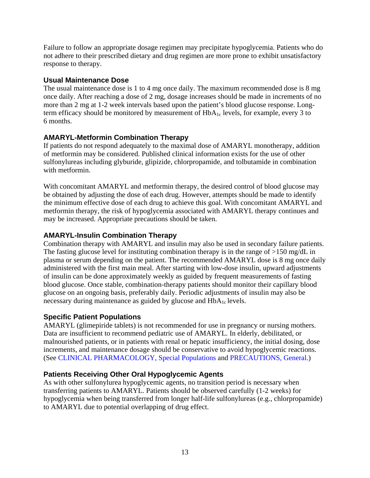<span id="page-12-0"></span>Failure to follow an appropriate dosage regimen may precipitate hypoglycemia. Patients who do not adhere to their prescribed dietary and drug regimen are more prone to exhibit unsatisfactory response to therapy.

# **Usual Maintenance Dose**

The usual maintenance dose is 1 to 4 mg once daily. The maximum recommended dose is 8 mg once daily. After reaching a dose of 2 mg, dosage increases should be made in increments of no more than 2 mg at 1-2 week intervals based upon the patient's blood glucose response. Longterm efficacy should be monitored by measurement of  $HbA_{1c}$  levels, for example, every 3 to 6 months.

# **AMARYL-Metformin Combination Therapy**

If patients do not respond adequately to the maximal dose of AMARYL monotherapy, addition of metformin may be considered. Published clinical information exists for the use of other sulfonylureas including glyburide, glipizide, chlorpropamide, and tolbutamide in combination with metformin.

With concomitant AMARYL and metformin therapy, the desired control of blood glucose may be obtained by adjusting the dose of each drug. However, attempts should be made to identify the minimum effective dose of each drug to achieve this goal. With concomitant AMARYL and metformin therapy, the risk of hypoglycemia associated with AMARYL therapy continues and may be increased. Appropriate precautions should be taken.

# **AMARYL-Insulin Combination Therapy**

Combination therapy with AMARYL and insulin may also be used in secondary failure patients. The fasting glucose level for instituting combination therapy is in the range of >150 mg/dL in plasma or serum depending on the patient. The recommended AMARYL dose is 8 mg once daily administered with the first main meal. After starting with low-dose insulin, upward adjustments of insulin can be done approximately weekly as guided by frequent measurements of fasting blood glucose. Once stable, combination-therapy patients should monitor their capillary blood glucose on an ongoing basis, preferably daily. Periodic adjustments of insulin may also be necessary during maintenance as guided by glucose and HbA<sub>1c</sub> levels.

# **Specific Patient Populations**

AMARYL (glimepiride tablets) is not recommended for use in pregnancy or nursing mothers. Data are insufficient to recommend pediatric use of AMARYL. In elderly, debilitated, or malnourished patients, or in patients with renal or hepatic insufficiency, the initial dosing, dose increments, and maintenance dosage should be conservative to avoid hypoglycemic reactions. (See [CLINICAL PHARMACOLOGY, Special Populations](#page-3-0) and [PRECAUTIONS, General.](#page-6-0))

# **Patients Receiving Other Oral Hypoglycemic Agents**

As with other sulfonylurea hypoglycemic agents, no transition period is necessary when transferring patients to AMARYL. Patients should be observed carefully (1-2 weeks) for hypoglycemia when being transferred from longer half-life sulfonylureas (e.g., chlorpropamide) to AMARYL due to potential overlapping of drug effect.